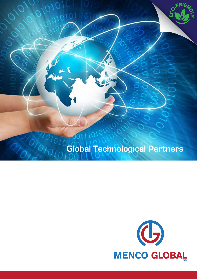

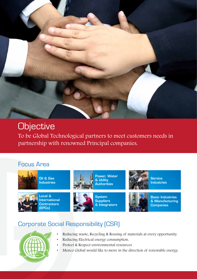

# **Objective**

To be Global Technological partners to meet customers needs in partnership with renowned Principal companies.

### Focus Area



Oil & Gas Industries



Local & International **Contractors** (EPCs)



Power, Water & Utility Authorities



**System Suppliers** & Integrators



**Service Industries** 



Basic Industries & Manufacturing **Companies** 

### Corporate Social Responsibility (CSR)



- Reducing waste, Recycling & Reusing of materials at every opportunity.
- Reducing Electrical energy consumption.
- Protect & Respect environmental resources
- Menco Global would like to move in the direction of renewable energy.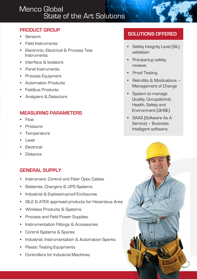# Menco Global State of the Art Solutions

#### **PRODUCT GROUP**

- Sensors
- Field Instruments
- Electronic, Electrical & Process Test **Instruments**
- Interface & Isolators
- Panel Instruments
- Process Equipment
- Automation Products
- Fieldbus Products
- Analyzers & Detectors

#### **MEASURING PARAMETERS**

- Flow
- Pressure
- Temperature
- Level
- **Electrical**
- **Distance**

#### **GENERAL SUPPLY**

- Instrument, Control and Fiber Optic Cables
- Batteries, Chargers & UPS Systems
- Industrial & Explosion-proof Enclosures
- SIL2 & ATEX approved products for Hazardous Area
- Wireless Products & Systems
- Process and Field Power Supplies.
- Instrumentation Fittings & Accessories
- Control Systems & Spares
- Industrial, Instrumentation & Automation Spares.
- Plastic Testing Equipments
- Controllers for Industrial Machines

#### **SOLUTIONS OFFERED**

- Safety Integrity Level [SIL] validation
- Pre-startup safety reviews
- Proof Testing
- Retrofits & Modications Management of Change
- System to manage Quality, Occupational, Health, Safety and Environment (QHSE).
- SAAS (Software As A Service) – Business Intelligent software.